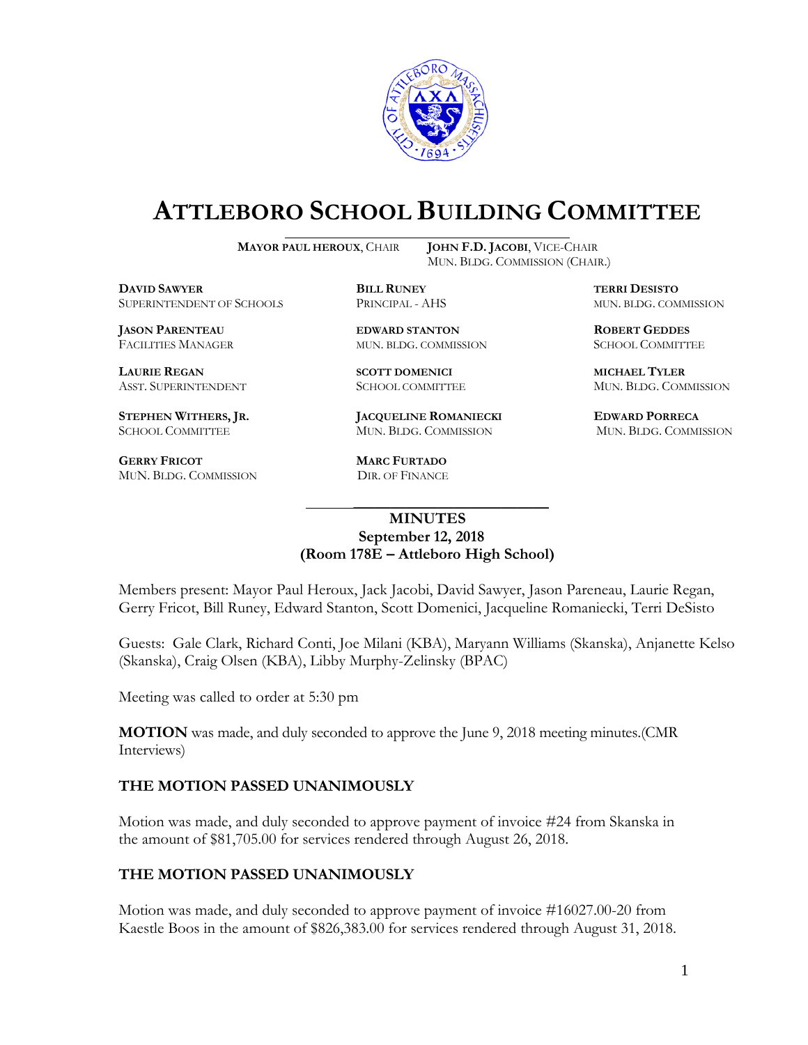

# **ATTLEBORO SCHOOL BUILDING COMMITTEE**

**MAYOR PAUL HEROUX**, CHAIR **JOHN F.D. JACOBI**, VICE-CHAIR

 $\mathcal{L}_\text{max}$  and  $\mathcal{L}_\text{max}$  and  $\mathcal{L}_\text{max}$  and  $\mathcal{L}_\text{max}$  and  $\mathcal{L}_\text{max}$ 

 $\overline{a}$ 

MUN. BLDG. COMMISSION (CHAIR.)

**DAVID SAWYER BILL RUNEY TERRI DESISTO** SUPERINTENDENT OF SCHOOLS PRINCIPAL - AHS MUN. BLDG. COMMISSION

FACILITIES MANAGER MUN. BLDG. COMMISSION SCHOOL COMMITTEE

LAURIE REGAN SCOTT DOMENICI MICHAEL TYLER

**GERRY FRICOT MARC FURTADO**<br>MUN. BLDG. COMMISSION DIR. OF FINANCE MUN. BLDG. COMMISSION

**JASON PARENTEAU EDWARD STANTON ROBERT GEDDES**

**STEPHEN WITHERS, JR. JACQUELINE ROMANIECKI EDWARD PORRECA** SCHOOL COMMITTEE MUN. BLDG. COMMISSION MUN. BLDG. COMMISSION

ASST. SUPERINTENDENT **SCHOOL COMMITTEE MUN. BLDG. COMMISSION** 

## **MINUTES September 12, 2018 (Room 178E – Attleboro High School)**

Members present: Mayor Paul Heroux, Jack Jacobi, David Sawyer, Jason Pareneau, Laurie Regan, Gerry Fricot, Bill Runey, Edward Stanton, Scott Domenici, Jacqueline Romaniecki, Terri DeSisto

Guests: Gale Clark, Richard Conti, Joe Milani (KBA), Maryann Williams (Skanska), Anjanette Kelso (Skanska), Craig Olsen (KBA), Libby Murphy-Zelinsky (BPAC)

Meeting was called to order at 5:30 pm

**MOTION** was made, and duly seconded to approve the June 9, 2018 meeting minutes.(CMR Interviews)

# **THE MOTION PASSED UNANIMOUSLY**

Motion was made, and duly seconded to approve payment of invoice #24 from Skanska in the amount of \$81,705.00 for services rendered through August 26, 2018.

# **THE MOTION PASSED UNANIMOUSLY**

Motion was made, and duly seconded to approve payment of invoice #16027.00-20 from Kaestle Boos in the amount of \$826,383.00 for services rendered through August 31, 2018.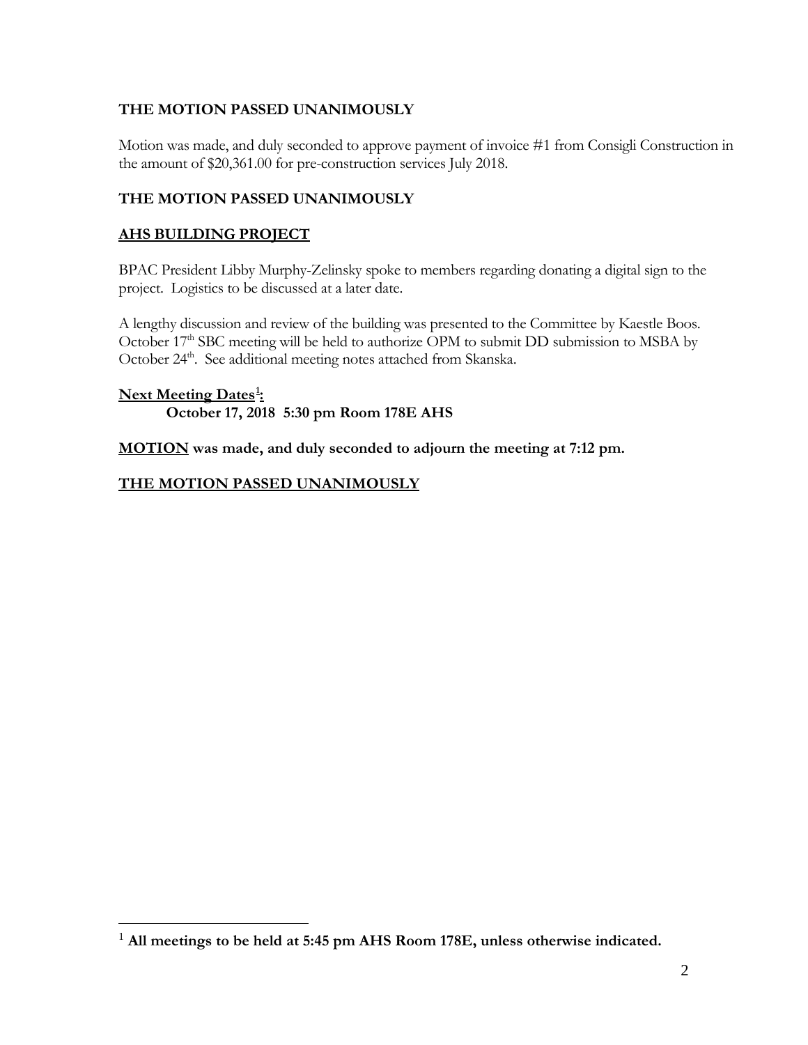# **THE MOTION PASSED UNANIMOUSLY**

Motion was made, and duly seconded to approve payment of invoice #1 from Consigli Construction in the amount of \$20,361.00 for pre-construction services July 2018.

# **THE MOTION PASSED UNANIMOUSLY**

## **AHS BUILDING PROJECT**

 $\overline{a}$ 

BPAC President Libby Murphy-Zelinsky spoke to members regarding donating a digital sign to the project. Logistics to be discussed at a later date.

A lengthy discussion and review of the building was presented to the Committee by Kaestle Boos. October 17<sup>th</sup> SBC meeting will be held to authorize OPM to submit DD submission to MSBA by October 24<sup>th</sup>. See additional meeting notes attached from Skanska.

## **Next Meeting Dates[1](#page-1-0) : October 17, 2018 5:30 pm Room 178E AHS**

**MOTION was made, and duly seconded to adjourn the meeting at 7:12 pm.** 

## **THE MOTION PASSED UNANIMOUSLY**

<span id="page-1-0"></span><sup>1</sup> **All meetings to be held at 5:45 pm AHS Room 178E, unless otherwise indicated.**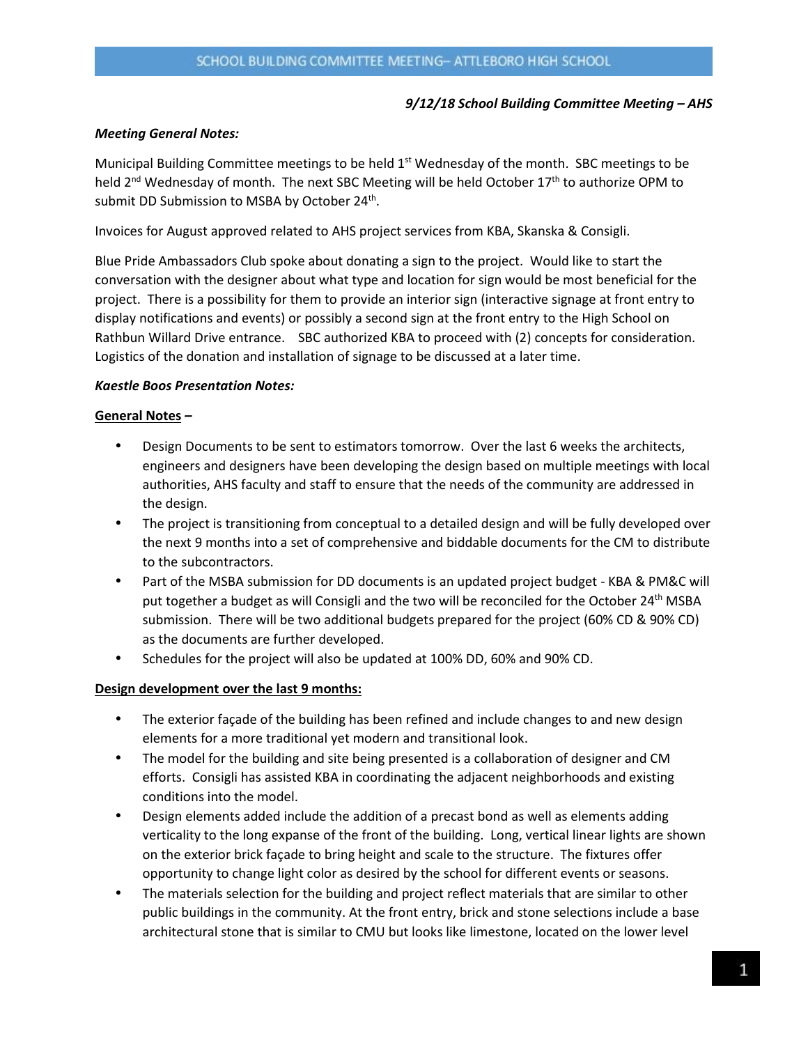#### *9/12/18 School Building Committee Meeting – AHS*

#### *Meeting General Notes:*

Municipal Building Committee meetings to be held  $1<sup>st</sup>$  Wednesday of the month. SBC meetings to be held  $2<sup>nd</sup>$  Wednesday of month. The next SBC Meeting will be held October 17<sup>th</sup> to authorize OPM to submit DD Submission to MSBA by October 24<sup>th</sup>.

Invoices for August approved related to AHS project services from KBA, Skanska & Consigli.

Blue Pride Ambassadors Club spoke about donating a sign to the project. Would like to start the conversation with the designer about what type and location for sign would be most beneficial for the project. There is a possibility for them to provide an interior sign (interactive signage at front entry to display notifications and events) or possibly a second sign at the front entry to the High School on Rathbun Willard Drive entrance. SBC authorized KBA to proceed with (2) concepts for consideration. Logistics of the donation and installation of signage to be discussed at a later time.

#### *Kaestle Boos Presentation Notes:*

#### **General Notes** *–*

- Design Documents to be sent to estimators tomorrow. Over the last 6 weeks the architects, engineers and designers have been developing the design based on multiple meetings with local authorities, AHS faculty and staff to ensure that the needs of the community are addressed in the design.
- The project is transitioning from conceptual to a detailed design and will be fully developed over the next 9 months into a set of comprehensive and biddable documents for the CM to distribute to the subcontractors.
- Part of the MSBA submission for DD documents is an updated project budget KBA & PM&C will put together a budget as will Consigli and the two will be reconciled for the October 24<sup>th</sup> MSBA submission. There will be two additional budgets prepared for the project (60% CD & 90% CD) as the documents are further developed.
- Schedules for the project will also be updated at 100% DD, 60% and 90% CD.

#### **Design development over the last 9 months:**

- The exterior façade of the building has been refined and include changes to and new design elements for a more traditional yet modern and transitional look.
- The model for the building and site being presented is a collaboration of designer and CM efforts. Consigli has assisted KBA in coordinating the adjacent neighborhoods and existing conditions into the model.
- Design elements added include the addition of a precast bond as well as elements adding verticality to the long expanse of the front of the building. Long, vertical linear lights are shown on the exterior brick façade to bring height and scale to the structure. The fixtures offer opportunity to change light color as desired by the school for different events or seasons.
- The materials selection for the building and project reflect materials that are similar to other public buildings in the community. At the front entry, brick and stone selections include a base architectural stone that is similar to CMU but looks like limestone, located on the lower level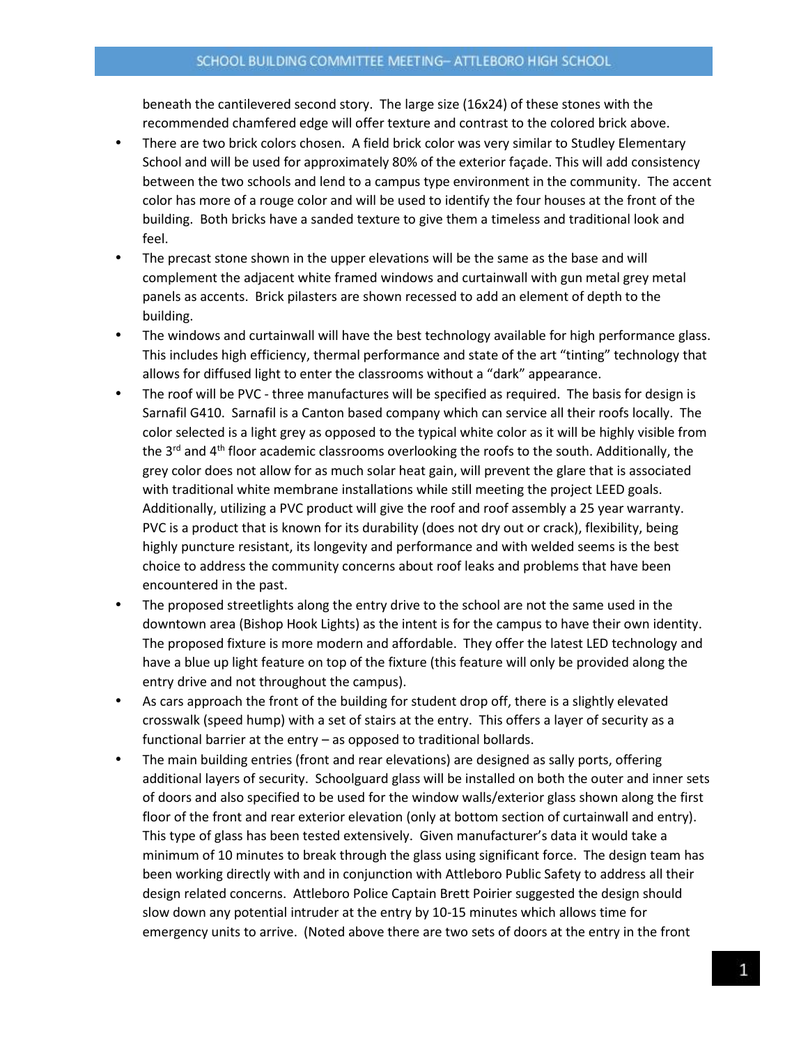#### SCHOOL BUILDING COMMITTEE MEETING- ATTLEBORO HIGH SCHOOL

beneath the cantilevered second story. The large size (16x24) of these stones with the recommended chamfered edge will offer texture and contrast to the colored brick above.

- There are two brick colors chosen. A field brick color was very similar to Studley Elementary School and will be used for approximately 80% of the exterior façade. This will add consistency between the two schools and lend to a campus type environment in the community. The accent color has more of a rouge color and will be used to identify the four houses at the front of the building. Both bricks have a sanded texture to give them a timeless and traditional look and feel.
- The precast stone shown in the upper elevations will be the same as the base and will complement the adjacent white framed windows and curtainwall with gun metal grey metal panels as accents. Brick pilasters are shown recessed to add an element of depth to the building.
- The windows and curtainwall will have the best technology available for high performance glass. This includes high efficiency, thermal performance and state of the art "tinting" technology that allows for diffused light to enter the classrooms without a "dark" appearance.
- The roof will be PVC three manufactures will be specified as required. The basis for design is Sarnafil G410. Sarnafil is a Canton based company which can service all their roofs locally. The color selected is a light grey as opposed to the typical white color as it will be highly visible from the  $3<sup>rd</sup>$  and  $4<sup>th</sup>$  floor academic classrooms overlooking the roofs to the south. Additionally, the grey color does not allow for as much solar heat gain, will prevent the glare that is associated with traditional white membrane installations while still meeting the project LEED goals. Additionally, utilizing a PVC product will give the roof and roof assembly a 25 year warranty. PVC is a product that is known for its durability (does not dry out or crack), flexibility, being highly puncture resistant, its longevity and performance and with welded seems is the best choice to address the community concerns about roof leaks and problems that have been encountered in the past.
- The proposed streetlights along the entry drive to the school are not the same used in the downtown area (Bishop Hook Lights) as the intent is for the campus to have their own identity. The proposed fixture is more modern and affordable. They offer the latest LED technology and have a blue up light feature on top of the fixture (this feature will only be provided along the entry drive and not throughout the campus).
- As cars approach the front of the building for student drop off, there is a slightly elevated crosswalk (speed hump) with a set of stairs at the entry. This offers a layer of security as a functional barrier at the entry – as opposed to traditional bollards.
- The main building entries (front and rear elevations) are designed as sally ports, offering additional layers of security. Schoolguard glass will be installed on both the outer and inner sets of doors and also specified to be used for the window walls/exterior glass shown along the first floor of the front and rear exterior elevation (only at bottom section of curtainwall and entry). This type of glass has been tested extensively. Given manufacturer's data it would take a minimum of 10 minutes to break through the glass using significant force. The design team has been working directly with and in conjunction with Attleboro Public Safety to address all their design related concerns. Attleboro Police Captain Brett Poirier suggested the design should slow down any potential intruder at the entry by 10-15 minutes which allows time for emergency units to arrive. (Noted above there are two sets of doors at the entry in the front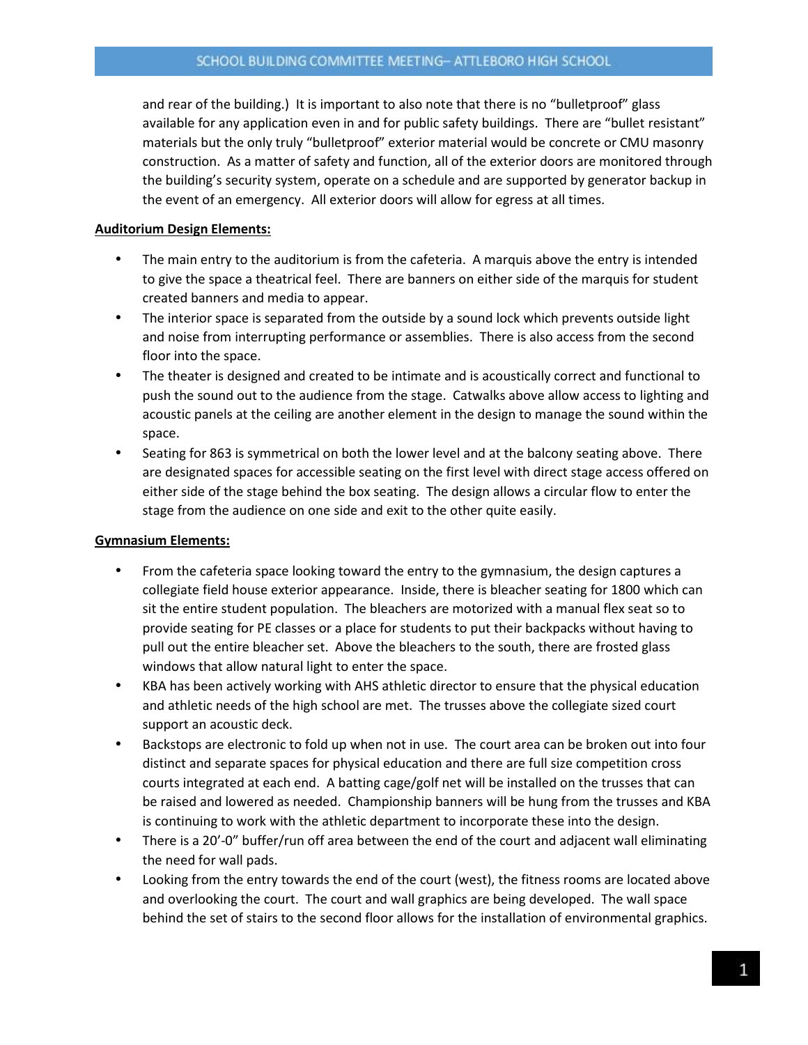and rear of the building.) It is important to also note that there is no "bulletproof" glass available for any application even in and for public safety buildings. There are "bullet resistant" materials but the only truly "bulletproof" exterior material would be concrete or CMU masonry construction. As a matter of safety and function, all of the exterior doors are monitored through the building's security system, operate on a schedule and are supported by generator backup in the event of an emergency. All exterior doors will allow for egress at all times.

#### **Auditorium Design Elements:**

- The main entry to the auditorium is from the cafeteria. A marquis above the entry is intended to give the space a theatrical feel. There are banners on either side of the marquis for student created banners and media to appear.
- The interior space is separated from the outside by a sound lock which prevents outside light and noise from interrupting performance or assemblies. There is also access from the second floor into the space.
- The theater is designed and created to be intimate and is acoustically correct and functional to push the sound out to the audience from the stage. Catwalks above allow access to lighting and acoustic panels at the ceiling are another element in the design to manage the sound within the space.
- Seating for 863 is symmetrical on both the lower level and at the balcony seating above. There are designated spaces for accessible seating on the first level with direct stage access offered on either side of the stage behind the box seating. The design allows a circular flow to enter the stage from the audience on one side and exit to the other quite easily.

## **Gymnasium Elements:**

- From the cafeteria space looking toward the entry to the gymnasium, the design captures a collegiate field house exterior appearance. Inside, there is bleacher seating for 1800 which can sit the entire student population. The bleachers are motorized with a manual flex seat so to provide seating for PE classes or a place for students to put their backpacks without having to pull out the entire bleacher set. Above the bleachers to the south, there are frosted glass windows that allow natural light to enter the space.
- KBA has been actively working with AHS athletic director to ensure that the physical education and athletic needs of the high school are met. The trusses above the collegiate sized court support an acoustic deck.
- Backstops are electronic to fold up when not in use. The court area can be broken out into four distinct and separate spaces for physical education and there are full size competition cross courts integrated at each end. A batting cage/golf net will be installed on the trusses that can be raised and lowered as needed. Championship banners will be hung from the trusses and KBA is continuing to work with the athletic department to incorporate these into the design.
- There is a 20'-0" buffer/run off area between the end of the court and adjacent wall eliminating the need for wall pads.
- Looking from the entry towards the end of the court (west), the fitness rooms are located above and overlooking the court. The court and wall graphics are being developed. The wall space behind the set of stairs to the second floor allows for the installation of environmental graphics.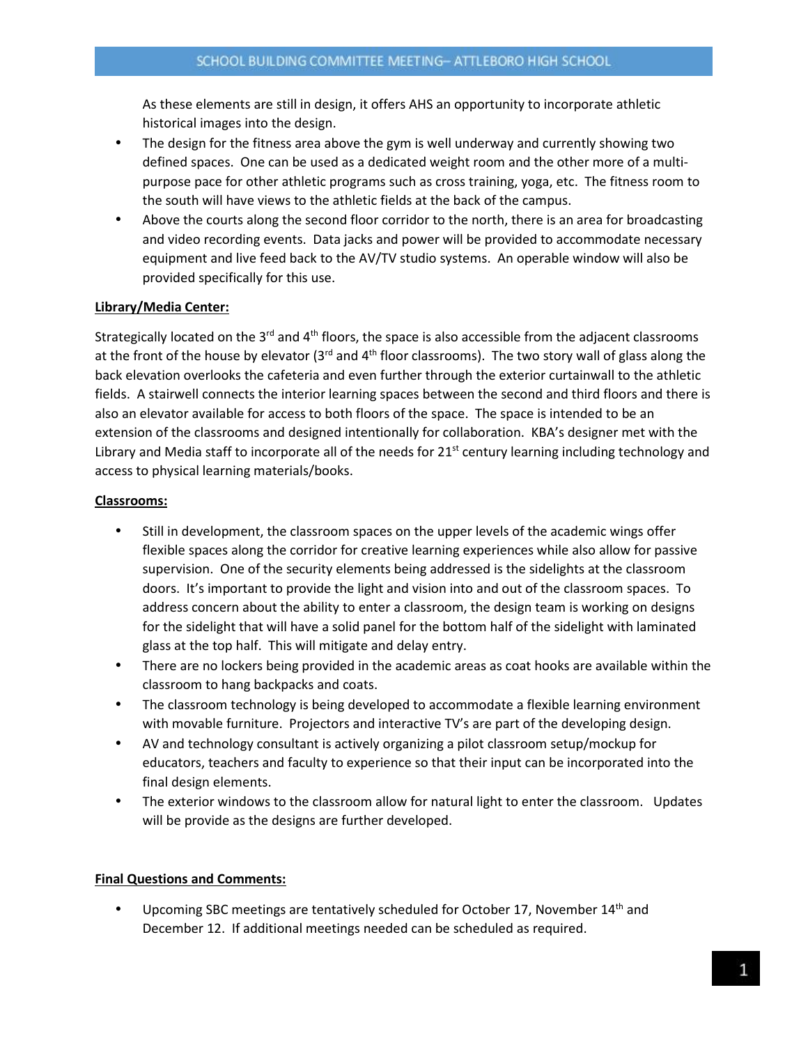As these elements are still in design, it offers AHS an opportunity to incorporate athletic historical images into the design.

- The design for the fitness area above the gym is well underway and currently showing two defined spaces. One can be used as a dedicated weight room and the other more of a multipurpose pace for other athletic programs such as cross training, yoga, etc. The fitness room to the south will have views to the athletic fields at the back of the campus.
- Above the courts along the second floor corridor to the north, there is an area for broadcasting and video recording events. Data jacks and power will be provided to accommodate necessary equipment and live feed back to the AV/TV studio systems. An operable window will also be provided specifically for this use.

#### **Library/Media Center:**

Strategically located on the 3<sup>rd</sup> and 4<sup>th</sup> floors, the space is also accessible from the adjacent classrooms at the front of the house by elevator ( $3<sup>rd</sup>$  and  $4<sup>th</sup>$  floor classrooms). The two story wall of glass along the back elevation overlooks the cafeteria and even further through the exterior curtainwall to the athletic fields. A stairwell connects the interior learning spaces between the second and third floors and there is also an elevator available for access to both floors of the space. The space is intended to be an extension of the classrooms and designed intentionally for collaboration. KBA's designer met with the Library and Media staff to incorporate all of the needs for  $21<sup>st</sup>$  century learning including technology and access to physical learning materials/books.

#### **Classrooms:**

- Still in development, the classroom spaces on the upper levels of the academic wings offer flexible spaces along the corridor for creative learning experiences while also allow for passive supervision. One of the security elements being addressed is the sidelights at the classroom doors. It's important to provide the light and vision into and out of the classroom spaces. To address concern about the ability to enter a classroom, the design team is working on designs for the sidelight that will have a solid panel for the bottom half of the sidelight with laminated glass at the top half. This will mitigate and delay entry.
- There are no lockers being provided in the academic areas as coat hooks are available within the classroom to hang backpacks and coats.
- The classroom technology is being developed to accommodate a flexible learning environment with movable furniture. Projectors and interactive TV's are part of the developing design.
- AV and technology consultant is actively organizing a pilot classroom setup/mockup for educators, teachers and faculty to experience so that their input can be incorporated into the final design elements.
- The exterior windows to the classroom allow for natural light to enter the classroom. Updates will be provide as the designs are further developed.

#### **Final Questions and Comments:**

Upcoming SBC meetings are tentatively scheduled for October 17, November  $14<sup>th</sup>$  and December 12. If additional meetings needed can be scheduled as required.